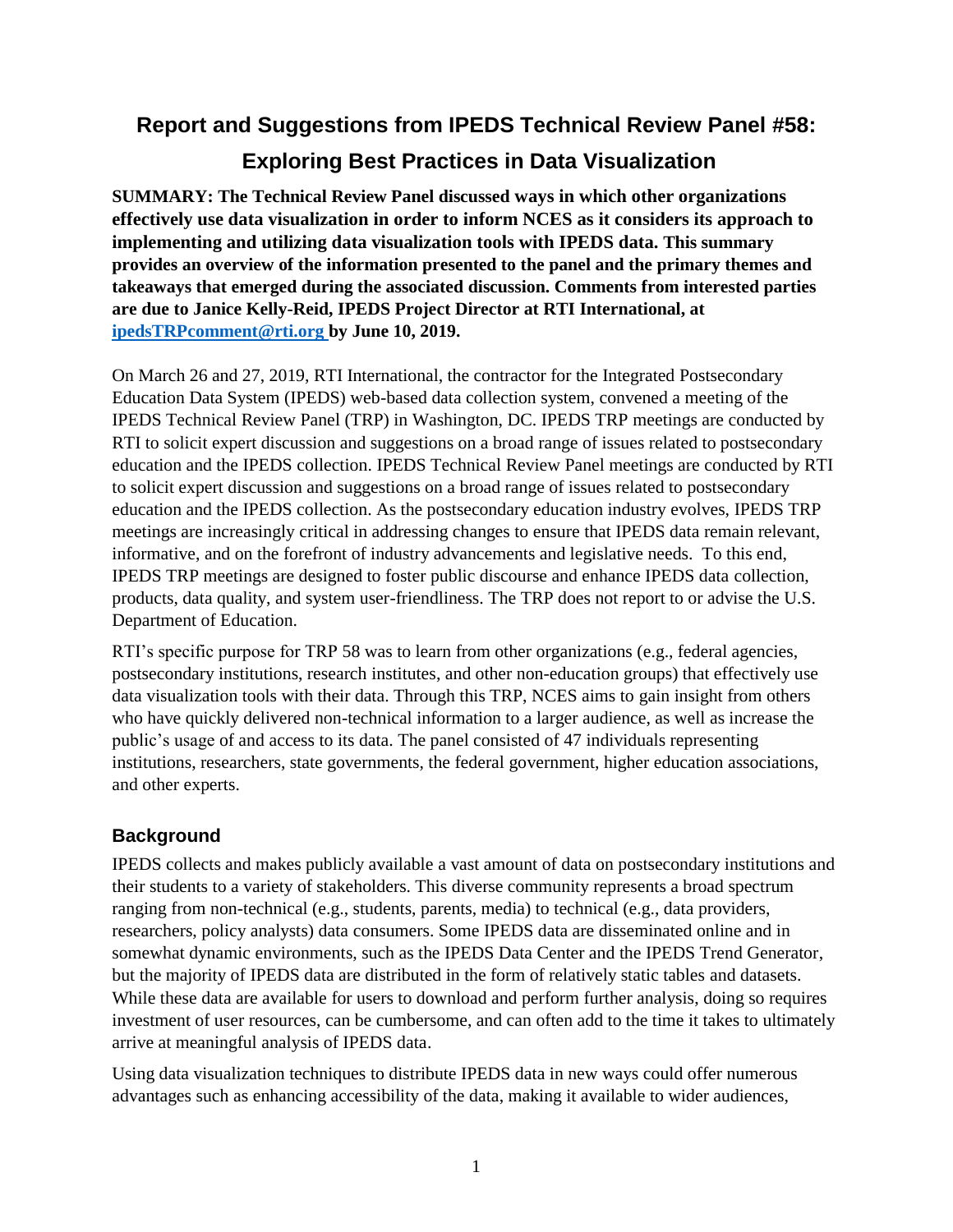# **Report and Suggestions from IPEDS Technical Review Panel #58: Exploring Best Practices in Data Visualization**

**SUMMARY: The Technical Review Panel discussed ways in which other organizations effectively use data visualization in order to inform NCES as it considers its approach to implementing and utilizing data visualization tools with IPEDS data. This summary provides an overview of the information presented to the panel and the primary themes and takeaways that emerged during the associated discussion. Comments from interested parties are due to Janice Kelly-Reid, IPEDS Project Director at RTI International, at [ipedsTRPcomment@rti.org](mailto:ipedsTRPcomment@rti.org) by June 10, 2019.**

On March 26 and 27, 2019, RTI International, the contractor for the Integrated Postsecondary Education Data System (IPEDS) web-based data collection system, convened a meeting of the IPEDS Technical Review Panel (TRP) in Washington, DC. IPEDS TRP meetings are conducted by RTI to solicit expert discussion and suggestions on a broad range of issues related to postsecondary education and the IPEDS collection. IPEDS Technical Review Panel meetings are conducted by RTI to solicit expert discussion and suggestions on a broad range of issues related to postsecondary education and the IPEDS collection. As the postsecondary education industry evolves, IPEDS TRP meetings are increasingly critical in addressing changes to ensure that IPEDS data remain relevant, informative, and on the forefront of industry advancements and legislative needs. To this end, IPEDS TRP meetings are designed to foster public discourse and enhance IPEDS data collection, products, data quality, and system user-friendliness. The TRP does not report to or advise the U.S. Department of Education.

RTI's specific purpose for TRP 58 was to learn from other organizations (e.g., federal agencies, postsecondary institutions, research institutes, and other non-education groups) that effectively use data visualization tools with their data. Through this TRP, NCES aims to gain insight from others who have quickly delivered non-technical information to a larger audience, as well as increase the public's usage of and access to its data. The panel consisted of 47 individuals representing institutions, researchers, state governments, the federal government, higher education associations, and other experts.

## **Background**

IPEDS collects and makes publicly available a vast amount of data on postsecondary institutions and their students to a variety of stakeholders. This diverse community represents a broad spectrum ranging from non-technical (e.g., students, parents, media) to technical (e.g., data providers, researchers, policy analysts) data consumers. Some IPEDS data are disseminated online and in somewhat dynamic environments, such as the IPEDS Data Center and the IPEDS Trend Generator, but the majority of IPEDS data are distributed in the form of relatively static tables and datasets. While these data are available for users to download and perform further analysis, doing so requires investment of user resources, can be cumbersome, and can often add to the time it takes to ultimately arrive at meaningful analysis of IPEDS data.

Using data visualization techniques to distribute IPEDS data in new ways could offer numerous advantages such as enhancing accessibility of the data, making it available to wider audiences,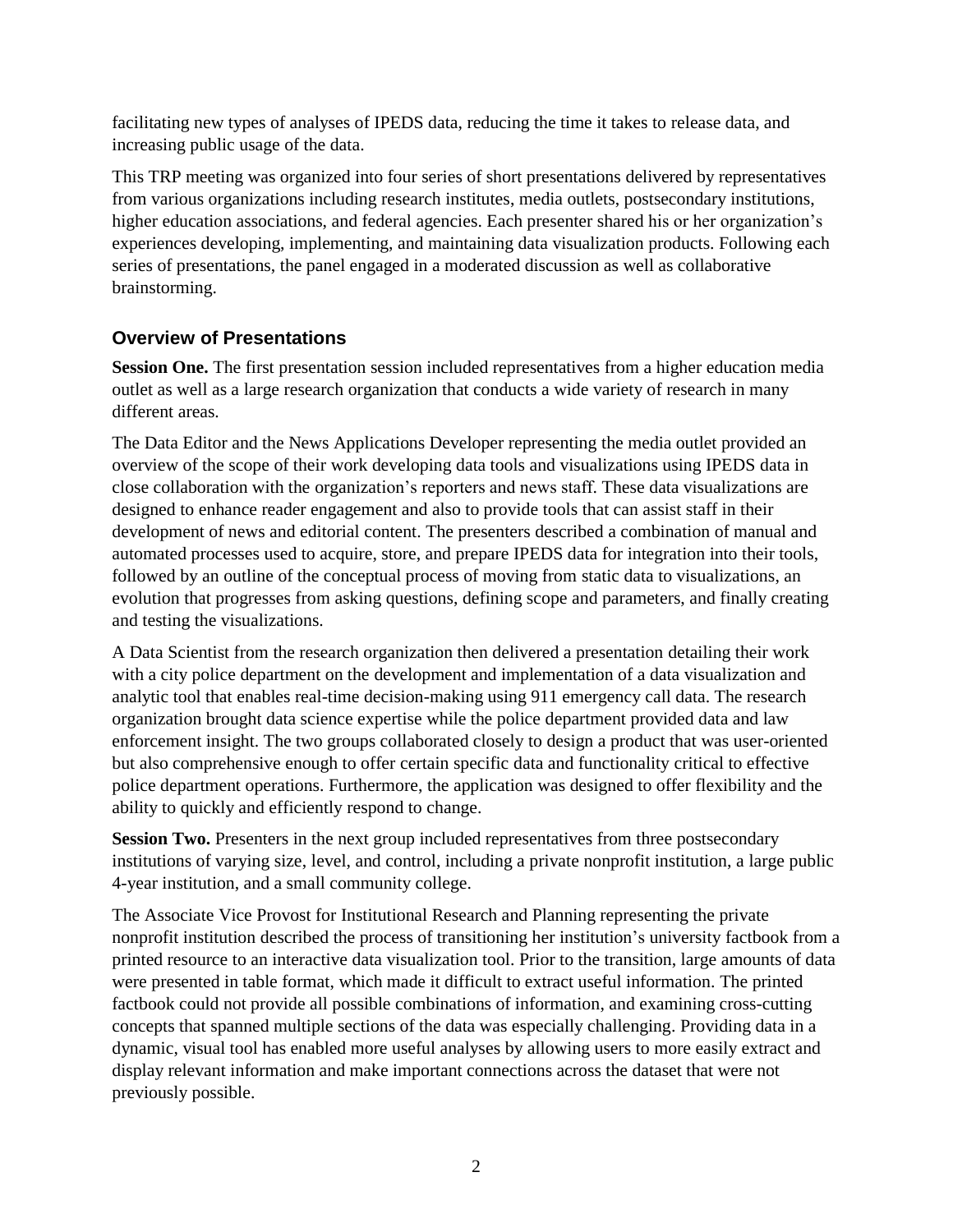facilitating new types of analyses of IPEDS data, reducing the time it takes to release data, and increasing public usage of the data.

This TRP meeting was organized into four series of short presentations delivered by representatives from various organizations including research institutes, media outlets, postsecondary institutions, higher education associations, and federal agencies. Each presenter shared his or her organization's experiences developing, implementing, and maintaining data visualization products. Following each series of presentations, the panel engaged in a moderated discussion as well as collaborative brainstorming.

## **Overview of Presentations**

**Session One.** The first presentation session included representatives from a higher education media outlet as well as a large research organization that conducts a wide variety of research in many different areas.

The Data Editor and the News Applications Developer representing the media outlet provided an overview of the scope of their work developing data tools and visualizations using IPEDS data in close collaboration with the organization's reporters and news staff. These data visualizations are designed to enhance reader engagement and also to provide tools that can assist staff in their development of news and editorial content. The presenters described a combination of manual and automated processes used to acquire, store, and prepare IPEDS data for integration into their tools, followed by an outline of the conceptual process of moving from static data to visualizations, an evolution that progresses from asking questions, defining scope and parameters, and finally creating and testing the visualizations.

A Data Scientist from the research organization then delivered a presentation detailing their work with a city police department on the development and implementation of a data visualization and analytic tool that enables real-time decision-making using 911 emergency call data. The research organization brought data science expertise while the police department provided data and law enforcement insight. The two groups collaborated closely to design a product that was user-oriented but also comprehensive enough to offer certain specific data and functionality critical to effective police department operations. Furthermore, the application was designed to offer flexibility and the ability to quickly and efficiently respond to change.

**Session Two.** Presenters in the next group included representatives from three postsecondary institutions of varying size, level, and control, including a private nonprofit institution, a large public 4-year institution, and a small community college.

The Associate Vice Provost for Institutional Research and Planning representing the private nonprofit institution described the process of transitioning her institution's university factbook from a printed resource to an interactive data visualization tool. Prior to the transition, large amounts of data were presented in table format, which made it difficult to extract useful information. The printed factbook could not provide all possible combinations of information, and examining cross-cutting concepts that spanned multiple sections of the data was especially challenging. Providing data in a dynamic, visual tool has enabled more useful analyses by allowing users to more easily extract and display relevant information and make important connections across the dataset that were not previously possible.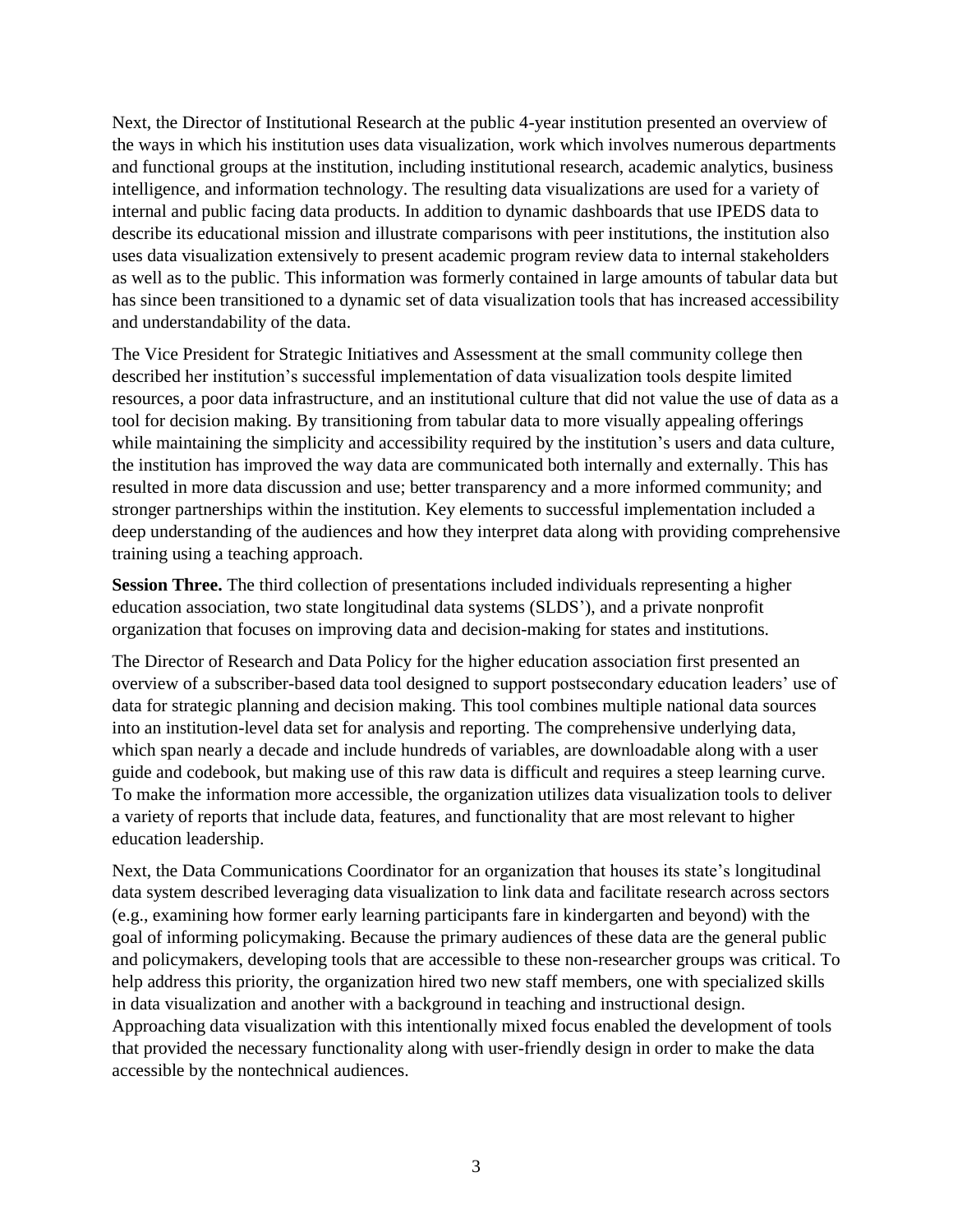Next, the Director of Institutional Research at the public 4-year institution presented an overview of the ways in which his institution uses data visualization, work which involves numerous departments and functional groups at the institution, including institutional research, academic analytics, business intelligence, and information technology. The resulting data visualizations are used for a variety of internal and public facing data products. In addition to dynamic dashboards that use IPEDS data to describe its educational mission and illustrate comparisons with peer institutions, the institution also uses data visualization extensively to present academic program review data to internal stakeholders as well as to the public. This information was formerly contained in large amounts of tabular data but has since been transitioned to a dynamic set of data visualization tools that has increased accessibility and understandability of the data.

The Vice President for Strategic Initiatives and Assessment at the small community college then described her institution's successful implementation of data visualization tools despite limited resources, a poor data infrastructure, and an institutional culture that did not value the use of data as a tool for decision making. By transitioning from tabular data to more visually appealing offerings while maintaining the simplicity and accessibility required by the institution's users and data culture, the institution has improved the way data are communicated both internally and externally. This has resulted in more data discussion and use; better transparency and a more informed community; and stronger partnerships within the institution. Key elements to successful implementation included a deep understanding of the audiences and how they interpret data along with providing comprehensive training using a teaching approach.

**Session Three.** The third collection of presentations included individuals representing a higher education association, two state longitudinal data systems (SLDS'), and a private nonprofit organization that focuses on improving data and decision-making for states and institutions.

The Director of Research and Data Policy for the higher education association first presented an overview of a subscriber-based data tool designed to support postsecondary education leaders' use of data for strategic planning and decision making. This tool combines multiple national data sources into an institution-level data set for analysis and reporting. The comprehensive underlying data, which span nearly a decade and include hundreds of variables, are downloadable along with a user guide and codebook, but making use of this raw data is difficult and requires a steep learning curve. To make the information more accessible, the organization utilizes data visualization tools to deliver a variety of reports that include data, features, and functionality that are most relevant to higher education leadership.

Next, the Data Communications Coordinator for an organization that houses its state's longitudinal data system described leveraging data visualization to link data and facilitate research across sectors (e.g., examining how former early learning participants fare in kindergarten and beyond) with the goal of informing policymaking. Because the primary audiences of these data are the general public and policymakers, developing tools that are accessible to these non-researcher groups was critical. To help address this priority, the organization hired two new staff members, one with specialized skills in data visualization and another with a background in teaching and instructional design. Approaching data visualization with this intentionally mixed focus enabled the development of tools that provided the necessary functionality along with user-friendly design in order to make the data accessible by the nontechnical audiences.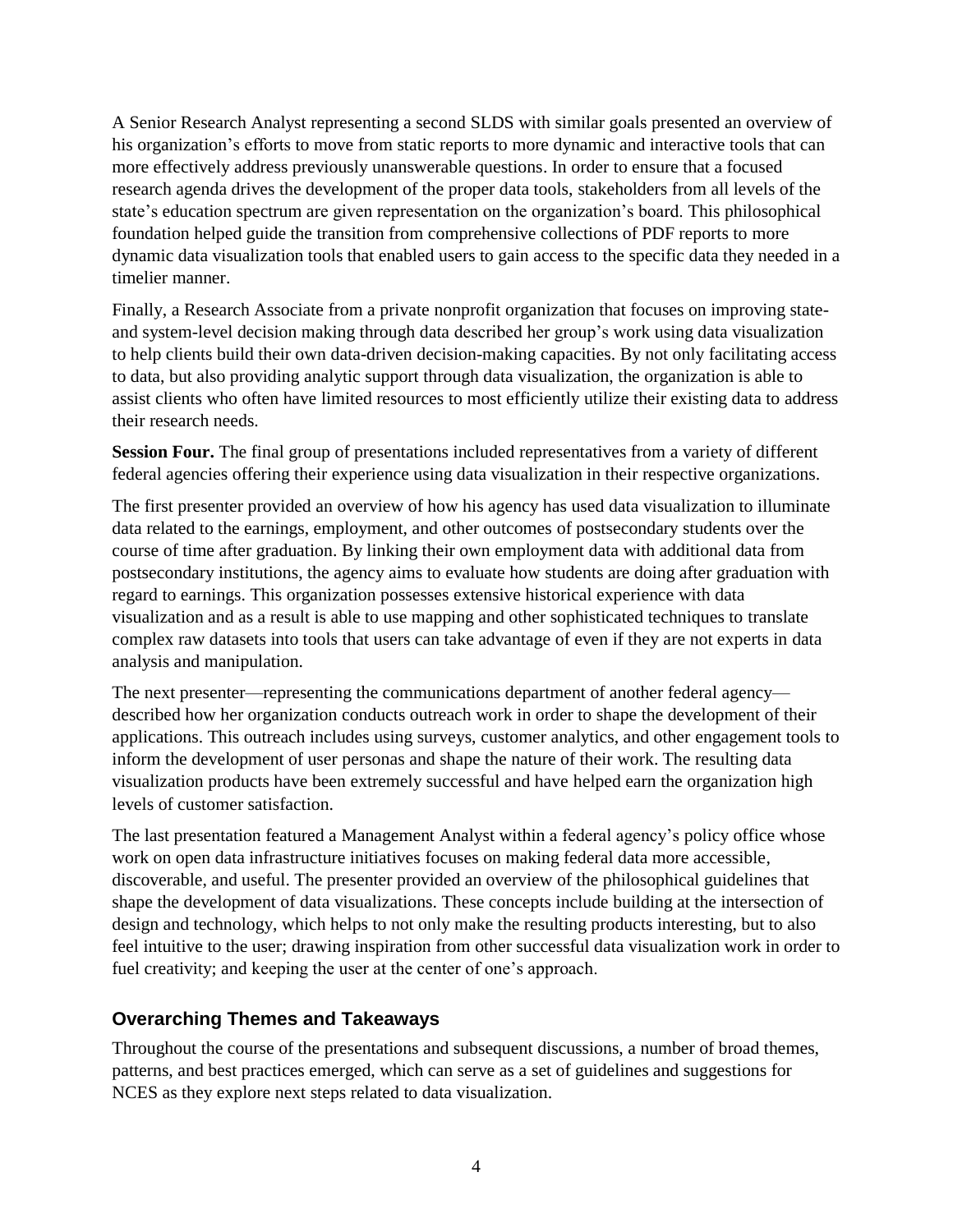A Senior Research Analyst representing a second SLDS with similar goals presented an overview of his organization's efforts to move from static reports to more dynamic and interactive tools that can more effectively address previously unanswerable questions. In order to ensure that a focused research agenda drives the development of the proper data tools, stakeholders from all levels of the state's education spectrum are given representation on the organization's board. This philosophical foundation helped guide the transition from comprehensive collections of PDF reports to more dynamic data visualization tools that enabled users to gain access to the specific data they needed in a timelier manner.

Finally, a Research Associate from a private nonprofit organization that focuses on improving stateand system-level decision making through data described her group's work using data visualization to help clients build their own data-driven decision-making capacities. By not only facilitating access to data, but also providing analytic support through data visualization, the organization is able to assist clients who often have limited resources to most efficiently utilize their existing data to address their research needs.

**Session Four.** The final group of presentations included representatives from a variety of different federal agencies offering their experience using data visualization in their respective organizations.

The first presenter provided an overview of how his agency has used data visualization to illuminate data related to the earnings, employment, and other outcomes of postsecondary students over the course of time after graduation. By linking their own employment data with additional data from postsecondary institutions, the agency aims to evaluate how students are doing after graduation with regard to earnings. This organization possesses extensive historical experience with data visualization and as a result is able to use mapping and other sophisticated techniques to translate complex raw datasets into tools that users can take advantage of even if they are not experts in data analysis and manipulation.

The next presenter—representing the communications department of another federal agency described how her organization conducts outreach work in order to shape the development of their applications. This outreach includes using surveys, customer analytics, and other engagement tools to inform the development of user personas and shape the nature of their work. The resulting data visualization products have been extremely successful and have helped earn the organization high levels of customer satisfaction.

The last presentation featured a Management Analyst within a federal agency's policy office whose work on open data infrastructure initiatives focuses on making federal data more accessible, discoverable, and useful. The presenter provided an overview of the philosophical guidelines that shape the development of data visualizations. These concepts include building at the intersection of design and technology, which helps to not only make the resulting products interesting, but to also feel intuitive to the user; drawing inspiration from other successful data visualization work in order to fuel creativity; and keeping the user at the center of one's approach.

## **Overarching Themes and Takeaways**

Throughout the course of the presentations and subsequent discussions, a number of broad themes, patterns, and best practices emerged, which can serve as a set of guidelines and suggestions for NCES as they explore next steps related to data visualization.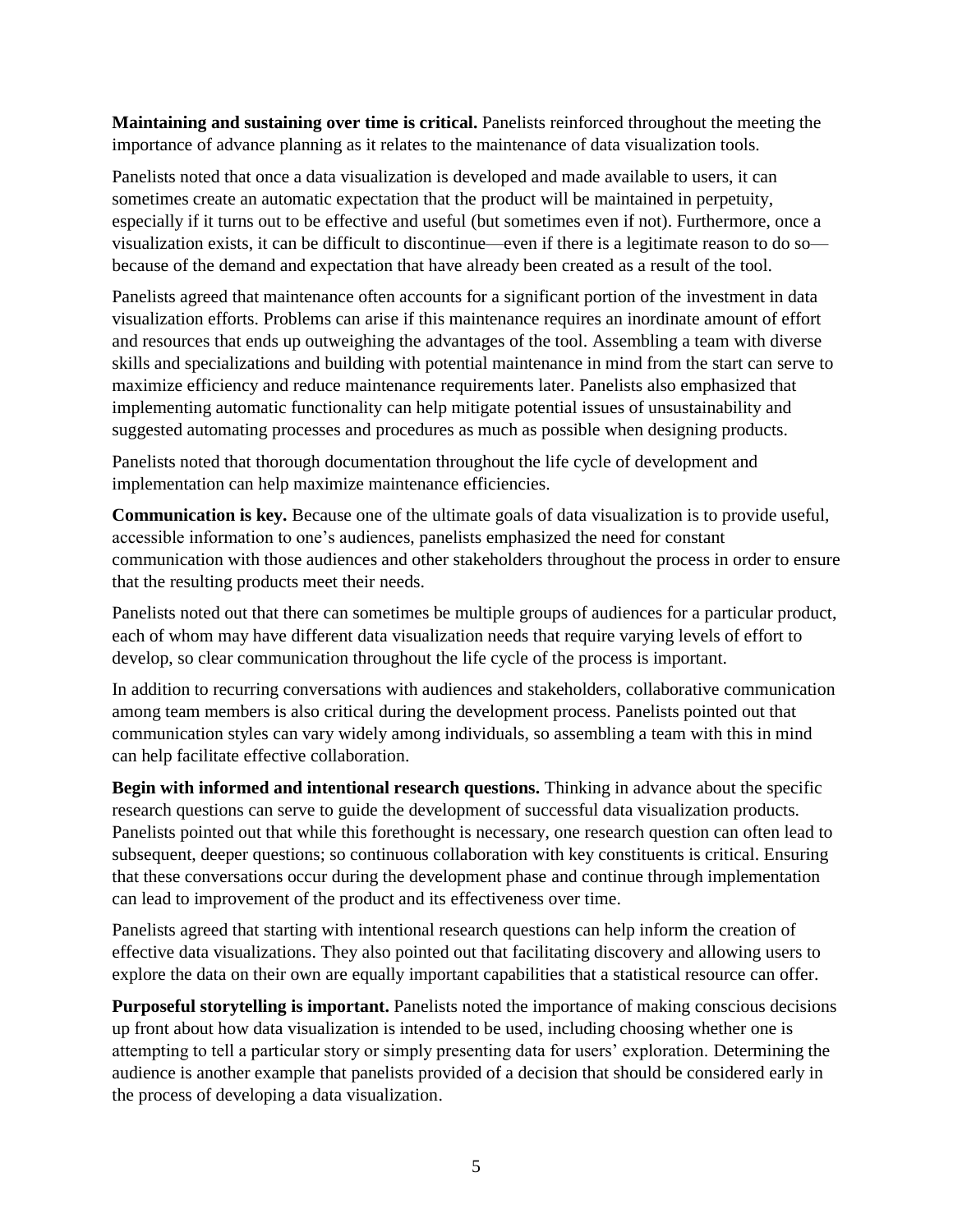**Maintaining and sustaining over time is critical.** Panelists reinforced throughout the meeting the importance of advance planning as it relates to the maintenance of data visualization tools.

Panelists noted that once a data visualization is developed and made available to users, it can sometimes create an automatic expectation that the product will be maintained in perpetuity, especially if it turns out to be effective and useful (but sometimes even if not). Furthermore, once a visualization exists, it can be difficult to discontinue—even if there is a legitimate reason to do so because of the demand and expectation that have already been created as a result of the tool.

Panelists agreed that maintenance often accounts for a significant portion of the investment in data visualization efforts. Problems can arise if this maintenance requires an inordinate amount of effort and resources that ends up outweighing the advantages of the tool. Assembling a team with diverse skills and specializations and building with potential maintenance in mind from the start can serve to maximize efficiency and reduce maintenance requirements later. Panelists also emphasized that implementing automatic functionality can help mitigate potential issues of unsustainability and suggested automating processes and procedures as much as possible when designing products.

Panelists noted that thorough documentation throughout the life cycle of development and implementation can help maximize maintenance efficiencies.

**Communication is key.** Because one of the ultimate goals of data visualization is to provide useful, accessible information to one's audiences, panelists emphasized the need for constant communication with those audiences and other stakeholders throughout the process in order to ensure that the resulting products meet their needs.

Panelists noted out that there can sometimes be multiple groups of audiences for a particular product, each of whom may have different data visualization needs that require varying levels of effort to develop, so clear communication throughout the life cycle of the process is important.

In addition to recurring conversations with audiences and stakeholders, collaborative communication among team members is also critical during the development process. Panelists pointed out that communication styles can vary widely among individuals, so assembling a team with this in mind can help facilitate effective collaboration.

**Begin with informed and intentional research questions.** Thinking in advance about the specific research questions can serve to guide the development of successful data visualization products. Panelists pointed out that while this forethought is necessary, one research question can often lead to subsequent, deeper questions; so continuous collaboration with key constituents is critical. Ensuring that these conversations occur during the development phase and continue through implementation can lead to improvement of the product and its effectiveness over time.

Panelists agreed that starting with intentional research questions can help inform the creation of effective data visualizations. They also pointed out that facilitating discovery and allowing users to explore the data on their own are equally important capabilities that a statistical resource can offer.

**Purposeful storytelling is important.** Panelists noted the importance of making conscious decisions up front about how data visualization is intended to be used, including choosing whether one is attempting to tell a particular story or simply presenting data for users' exploration. Determining the audience is another example that panelists provided of a decision that should be considered early in the process of developing a data visualization.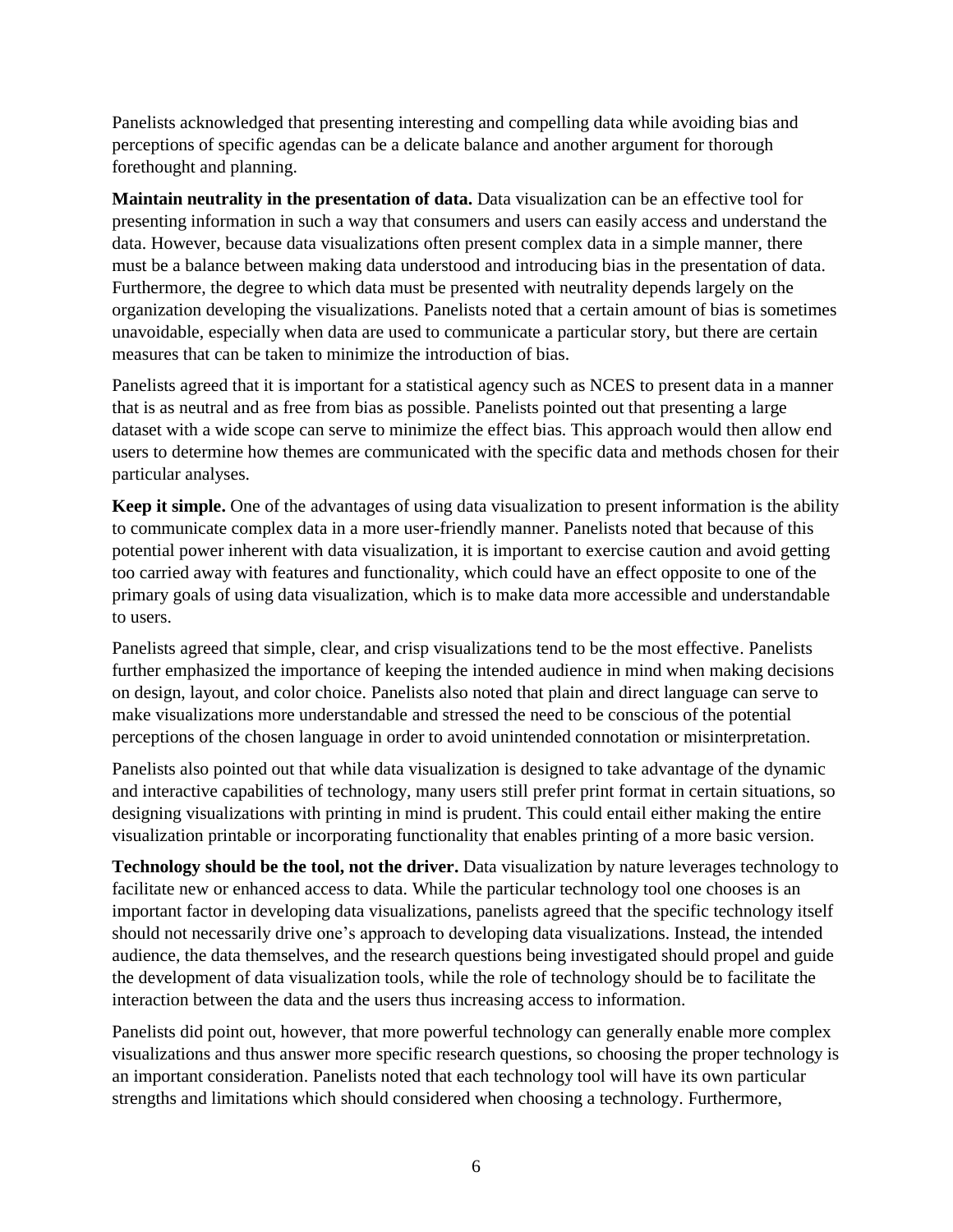Panelists acknowledged that presenting interesting and compelling data while avoiding bias and perceptions of specific agendas can be a delicate balance and another argument for thorough forethought and planning.

**Maintain neutrality in the presentation of data.** Data visualization can be an effective tool for presenting information in such a way that consumers and users can easily access and understand the data. However, because data visualizations often present complex data in a simple manner, there must be a balance between making data understood and introducing bias in the presentation of data. Furthermore, the degree to which data must be presented with neutrality depends largely on the organization developing the visualizations. Panelists noted that a certain amount of bias is sometimes unavoidable, especially when data are used to communicate a particular story, but there are certain measures that can be taken to minimize the introduction of bias.

Panelists agreed that it is important for a statistical agency such as NCES to present data in a manner that is as neutral and as free from bias as possible. Panelists pointed out that presenting a large dataset with a wide scope can serve to minimize the effect bias. This approach would then allow end users to determine how themes are communicated with the specific data and methods chosen for their particular analyses.

**Keep it simple.** One of the advantages of using data visualization to present information is the ability to communicate complex data in a more user-friendly manner. Panelists noted that because of this potential power inherent with data visualization, it is important to exercise caution and avoid getting too carried away with features and functionality, which could have an effect opposite to one of the primary goals of using data visualization, which is to make data more accessible and understandable to users.

Panelists agreed that simple, clear, and crisp visualizations tend to be the most effective. Panelists further emphasized the importance of keeping the intended audience in mind when making decisions on design, layout, and color choice. Panelists also noted that plain and direct language can serve to make visualizations more understandable and stressed the need to be conscious of the potential perceptions of the chosen language in order to avoid unintended connotation or misinterpretation.

Panelists also pointed out that while data visualization is designed to take advantage of the dynamic and interactive capabilities of technology, many users still prefer print format in certain situations, so designing visualizations with printing in mind is prudent. This could entail either making the entire visualization printable or incorporating functionality that enables printing of a more basic version.

**Technology should be the tool, not the driver.** Data visualization by nature leverages technology to facilitate new or enhanced access to data. While the particular technology tool one chooses is an important factor in developing data visualizations, panelists agreed that the specific technology itself should not necessarily drive one's approach to developing data visualizations. Instead, the intended audience, the data themselves, and the research questions being investigated should propel and guide the development of data visualization tools, while the role of technology should be to facilitate the interaction between the data and the users thus increasing access to information.

Panelists did point out, however, that more powerful technology can generally enable more complex visualizations and thus answer more specific research questions, so choosing the proper technology is an important consideration. Panelists noted that each technology tool will have its own particular strengths and limitations which should considered when choosing a technology. Furthermore,